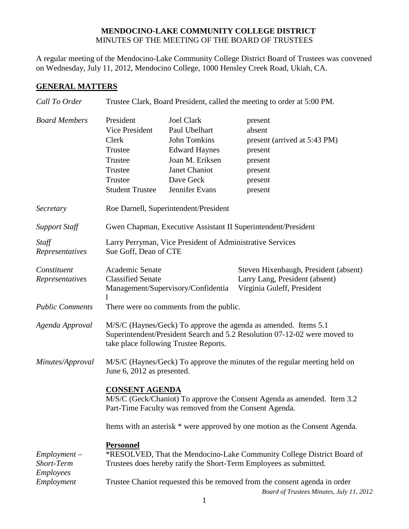## **MENDOCINO-LAKE COMMUNITY COLLEGE DISTRICT** MINUTES OF THE MEETING OF THE BOARD OF TRUSTEES

A regular meeting of the Mendocino-Lake Community College District Board of Trustees was convened on Wednesday, July 11, 2012, Mendocino College, 1000 Hensley Creek Road, Ukiah, CA.

## **GENERAL MATTERS**

| Call To Order                                    | Trustee Clark, Board President, called the meeting to order at 5:00 PM.                                                                                                               |                                                                                                                                                      |                                                                                                          |  |
|--------------------------------------------------|---------------------------------------------------------------------------------------------------------------------------------------------------------------------------------------|------------------------------------------------------------------------------------------------------------------------------------------------------|----------------------------------------------------------------------------------------------------------|--|
| <b>Board Members</b>                             | President<br>Vice President<br>Clerk<br>Trustee<br>Trustee<br>Trustee<br>Trustee<br><b>Student Trustee</b>                                                                            | <b>Joel Clark</b><br>Paul Ubelhart<br><b>John Tomkins</b><br><b>Edward Haynes</b><br>Joan M. Eriksen<br>Janet Chaniot<br>Dave Geck<br>Jennifer Evans | present<br>absent<br>present (arrived at 5:43 PM)<br>present<br>present<br>present<br>present<br>present |  |
| Secretary                                        | Roe Darnell, Superintendent/President                                                                                                                                                 |                                                                                                                                                      |                                                                                                          |  |
| <b>Support Staff</b>                             | Gwen Chapman, Executive Assistant II Superintendent/President                                                                                                                         |                                                                                                                                                      |                                                                                                          |  |
| Staff<br>Representatives                         | Larry Perryman, Vice President of Administrative Services<br>Sue Goff, Dean of CTE                                                                                                    |                                                                                                                                                      |                                                                                                          |  |
| Constituent<br>Representatives                   | Academic Senate<br><b>Classified Senate</b><br>Management/Supervisory/Confidentia                                                                                                     |                                                                                                                                                      | Steven Hixenbaugh, President (absent)<br>Larry Lang, President (absent)<br>Virginia Guleff, President    |  |
| <b>Public Comments</b>                           | There were no comments from the public.                                                                                                                                               |                                                                                                                                                      |                                                                                                          |  |
| Agenda Approval                                  | M/S/C (Haynes/Geck) To approve the agenda as amended. Items 5.1<br>Superintendent/President Search and 5.2 Resolution 07-12-02 were moved to<br>take place following Trustee Reports. |                                                                                                                                                      |                                                                                                          |  |
| Minutes/Approval                                 | M/S/C (Haynes/Geck) To approve the minutes of the regular meeting held on<br>June 6, 2012 as presented.                                                                               |                                                                                                                                                      |                                                                                                          |  |
|                                                  | <b>CONSENT AGENDA</b><br>M/S/C (Geck/Chaniot) To approve the Consent Agenda as amended. Item 3.2<br>Part-Time Faculty was removed from the Consent Agenda.                            |                                                                                                                                                      |                                                                                                          |  |
|                                                  | Items with an asterisk * were approved by one motion as the Consent Agenda.                                                                                                           |                                                                                                                                                      |                                                                                                          |  |
| $Employment -$<br>Short-Term<br><b>Employees</b> | <b>Personnel</b><br>*RESOLVED, That the Mendocino-Lake Community College District Board of<br>Trustees does hereby ratify the Short-Term Employees as submitted.                      |                                                                                                                                                      |                                                                                                          |  |
| Employment                                       | Trustee Chaniot requested this be removed from the consent agenda in order<br>Board of Trustees Minutes, July 11, 2012                                                                |                                                                                                                                                      |                                                                                                          |  |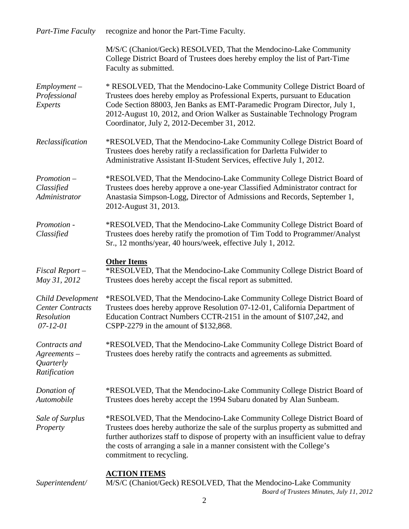| Part-Time Faculty                                                      | recognize and honor the Part-Time Faculty.                                                                                                                                                                                                                                                                                                                    |  |
|------------------------------------------------------------------------|---------------------------------------------------------------------------------------------------------------------------------------------------------------------------------------------------------------------------------------------------------------------------------------------------------------------------------------------------------------|--|
|                                                                        | M/S/C (Chaniot/Geck) RESOLVED, That the Mendocino-Lake Community<br>College District Board of Trustees does hereby employ the list of Part-Time<br>Faculty as submitted.                                                                                                                                                                                      |  |
| $Employment -$<br>Professional<br>Experts                              | * RESOLVED, That the Mendocino-Lake Community College District Board of<br>Trustees does hereby employ as Professional Experts, pursuant to Education<br>Code Section 88003, Jen Banks as EMT-Paramedic Program Director, July 1,<br>2012-August 10, 2012, and Orion Walker as Sustainable Technology Program<br>Coordinator, July 2, 2012-December 31, 2012. |  |
| Reclassification                                                       | *RESOLVED, That the Mendocino-Lake Community College District Board of<br>Trustees does hereby ratify a reclassification for Darletta Fulwider to<br>Administrative Assistant II-Student Services, effective July 1, 2012.                                                                                                                                    |  |
| $Promotion -$<br>Classified<br>Administrator                           | *RESOLVED, That the Mendocino-Lake Community College District Board of<br>Trustees does hereby approve a one-year Classified Administrator contract for<br>Anastasia Simpson-Logg, Director of Admissions and Records, September 1,<br>2012-August 31, 2013.                                                                                                  |  |
| Promotion -<br>Classified                                              | *RESOLVED, That the Mendocino-Lake Community College District Board of<br>Trustees does hereby ratify the promotion of Tim Todd to Programmer/Analyst<br>Sr., 12 months/year, 40 hours/week, effective July 1, 2012.                                                                                                                                          |  |
| $Fixed$ Report $-$<br>May 31, 2012                                     | <b>Other Items</b><br>*RESOLVED, That the Mendocino-Lake Community College District Board of<br>Trustees does hereby accept the fiscal report as submitted.                                                                                                                                                                                                   |  |
| Child Development<br><b>Center Contracts</b><br>Resolution<br>07-12-01 | *RESOLVED, That the Mendocino-Lake Community College District Board of<br>Trustees does hereby approve Resolution 07-12-01, California Department of<br>Education Contract Numbers CCTR-2151 in the amount of \$107,242, and<br>CSPP-2279 in the amount of \$132,868.                                                                                         |  |
| Contracts and<br>$A$ greements $-$<br>Quarterly<br>Ratification        | *RESOLVED, That the Mendocino-Lake Community College District Board of<br>Trustees does hereby ratify the contracts and agreements as submitted.                                                                                                                                                                                                              |  |
| Donation of<br>Automobile                                              | *RESOLVED, That the Mendocino-Lake Community College District Board of<br>Trustees does hereby accept the 1994 Subaru donated by Alan Sunbeam.                                                                                                                                                                                                                |  |
| Sale of Surplus<br>Property                                            | *RESOLVED, That the Mendocino-Lake Community College District Board of<br>Trustees does hereby authorize the sale of the surplus property as submitted and<br>further authorizes staff to dispose of property with an insufficient value to defray<br>the costs of arranging a sale in a manner consistent with the College's<br>commitment to recycling.     |  |
| Superintendent/                                                        | <b>ACTION ITEMS</b><br>M/S/C (Chaniot/Geck) RESOLVED, That the Mendocino-Lake Community                                                                                                                                                                                                                                                                       |  |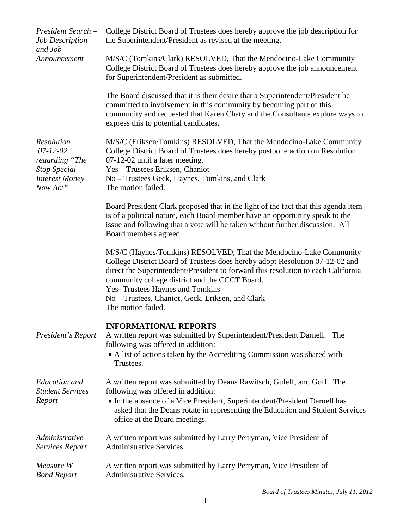| President Search -<br><b>Job Description</b><br>and Job                                                           | College District Board of Trustees does hereby approve the job description for<br>the Superintendent/President as revised at the meeting.                                                                                                                                                                                                                                                                      |  |  |
|-------------------------------------------------------------------------------------------------------------------|----------------------------------------------------------------------------------------------------------------------------------------------------------------------------------------------------------------------------------------------------------------------------------------------------------------------------------------------------------------------------------------------------------------|--|--|
| Announcement                                                                                                      | M/S/C (Tomkins/Clark) RESOLVED, That the Mendocino-Lake Community<br>College District Board of Trustees does hereby approve the job announcement<br>for Superintendent/President as submitted.                                                                                                                                                                                                                 |  |  |
|                                                                                                                   | The Board discussed that it is their desire that a Superintendent/President be<br>committed to involvement in this community by becoming part of this<br>community and requested that Karen Chaty and the Consultants explore ways to<br>express this to potential candidates.                                                                                                                                 |  |  |
| <b>Resolution</b><br>$07 - 12 - 02$<br>regarding "The<br><b>Stop Special</b><br><b>Interest Money</b><br>Now Act" | M/S/C (Eriksen/Tomkins) RESOLVED, That the Mendocino-Lake Community<br>College District Board of Trustees does hereby postpone action on Resolution<br>07-12-02 until a later meeting.<br>Yes - Trustees Eriksen, Chaniot<br>No – Trustees Geck, Haynes, Tomkins, and Clark<br>The motion failed.                                                                                                              |  |  |
|                                                                                                                   | Board President Clark proposed that in the light of the fact that this agenda item<br>is of a political nature, each Board member have an opportunity speak to the<br>issue and following that a vote will be taken without further discussion. All<br>Board members agreed.                                                                                                                                   |  |  |
|                                                                                                                   | M/S/C (Haynes/Tomkins) RESOLVED, That the Mendocino-Lake Community<br>College District Board of Trustees does hereby adopt Resolution 07-12-02 and<br>direct the Superintendent/President to forward this resolution to each California<br>community college district and the CCCT Board.<br><b>Yes- Trustees Haynes and Tomkins</b><br>No – Trustees, Chaniot, Geck, Eriksen, and Clark<br>The motion failed. |  |  |
| President's Report                                                                                                | <b>INFORMATIONAL REPORTS</b><br>A written report was submitted by Superintendent/President Darnell.<br>The<br>following was offered in addition:<br>• A list of actions taken by the Accrediting Commission was shared with<br>Trustees.                                                                                                                                                                       |  |  |
| <b>Education</b> and<br><b>Student Services</b><br>Report                                                         | A written report was submitted by Deans Rawitsch, Guleff, and Goff. The<br>following was offered in addition:<br>• In the absence of a Vice President, Superintendent/President Darnell has<br>asked that the Deans rotate in representing the Education and Student Services<br>office at the Board meetings.                                                                                                 |  |  |
| Administrative<br><b>Services Report</b>                                                                          | A written report was submitted by Larry Perryman, Vice President of<br><b>Administrative Services.</b>                                                                                                                                                                                                                                                                                                         |  |  |
| Measure W<br><b>Bond Report</b>                                                                                   | A written report was submitted by Larry Perryman, Vice President of<br><b>Administrative Services.</b>                                                                                                                                                                                                                                                                                                         |  |  |